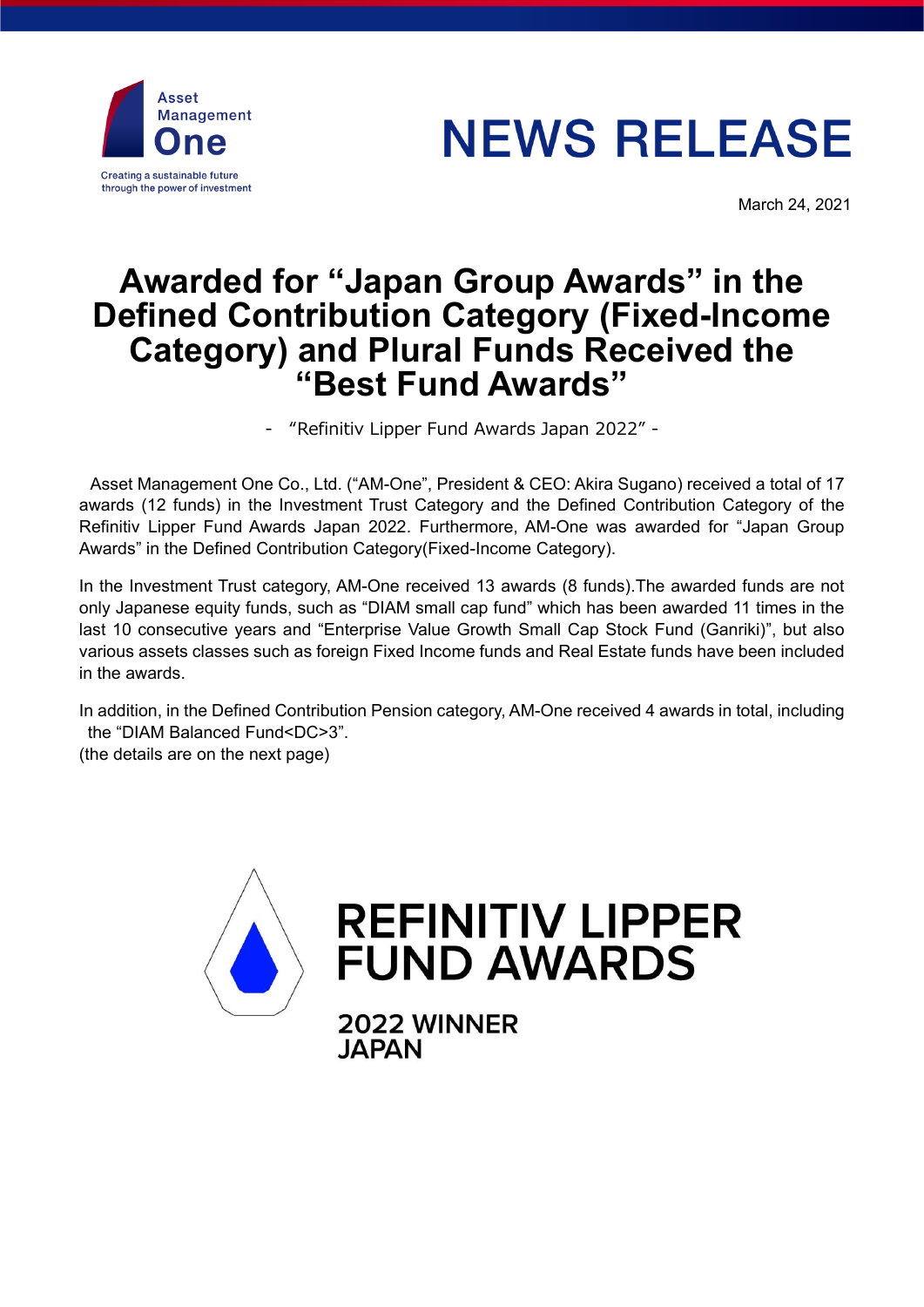

# **NEWS RELEASE**

March 24, 2021

# **Awarded for "Japan Group Awards" in the Defined Contribution Category (Fixed-Income Category) and Plural Funds Received the "Best Fund Awards"**

- "Refinitiv Lipper Fund Awards Japan 2022" -

Asset Management One Co., Ltd. ("AM-One", President & CEO: Akira Sugano) received a total of 17 awards (12 funds) in the Investment Trust Category and the Defined Contribution Category of the Refinitiv Lipper Fund Awards Japan 2022. Furthermore, AM-One was awarded for "Japan Group Awards" in the Defined Contribution Category(Fixed-Income Category).

In the Investment Trust category, AM-One received 13 awards (8 funds).The awarded funds are not only Japanese equity funds, such as "DIAM small cap fund" which has been awarded 11 times in the last 10 consecutive years and "Enterprise Value Growth Small Cap Stock Fund (Ganriki)", but also various assets classes such as foreign Fixed Income funds and Real Estate funds have been included in the awards.

In addition, in the Defined Contribution Pension category, AM-One received 4 awards in total, including the "DIAM Balanced Fund<DC>3".

(the details are on the next page)

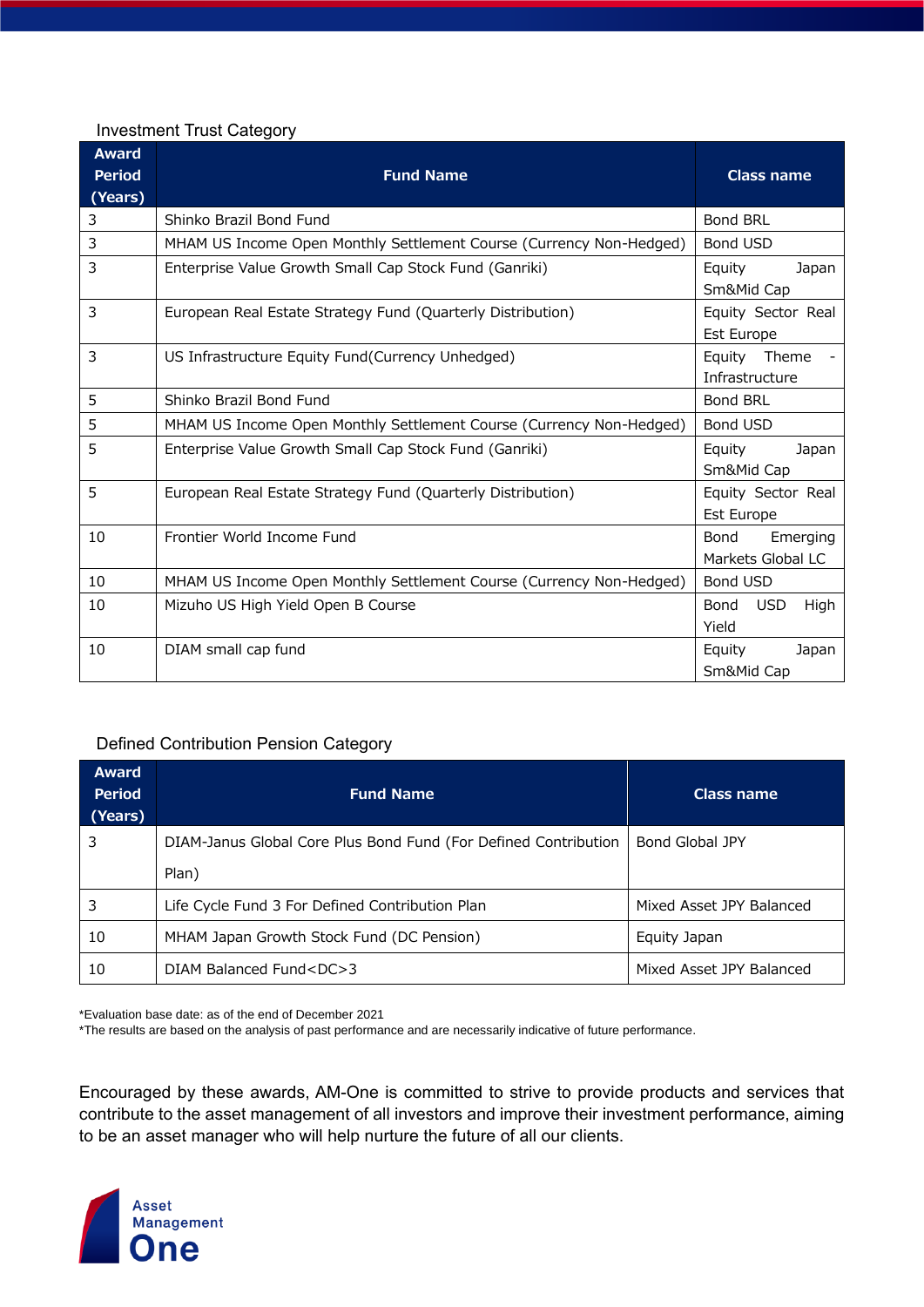### Investment Trust Category

| <b>Award</b><br><b>Period</b> | <b>Fund Name</b>                                                    | <b>Class name</b>                       |
|-------------------------------|---------------------------------------------------------------------|-----------------------------------------|
| (Years)                       |                                                                     |                                         |
| 3                             | Shinko Brazil Bond Fund                                             | <b>Bond BRL</b>                         |
| 3                             | MHAM US Income Open Monthly Settlement Course (Currency Non-Hedged) | Bond USD                                |
| 3                             | Enterprise Value Growth Small Cap Stock Fund (Ganriki)              | Equity<br>Japan<br>Sm&Mid Cap           |
| 3                             | European Real Estate Strategy Fund (Quarterly Distribution)         | Equity Sector Real<br><b>Est Europe</b> |
| 3                             | US Infrastructure Equity Fund(Currency Unhedged)                    | Equity Theme<br>Infrastructure          |
| 5                             | Shinko Brazil Bond Fund                                             | Bond BRL                                |
| 5                             | MHAM US Income Open Monthly Settlement Course (Currency Non-Hedged) | Bond USD                                |
| 5                             | Enterprise Value Growth Small Cap Stock Fund (Ganriki)              | Equity<br>Japan<br>Sm&Mid Cap           |
| 5                             | European Real Estate Strategy Fund (Quarterly Distribution)         | Equity Sector Real<br>Est Europe        |
| 10                            | Frontier World Income Fund                                          | Emerging<br>Bond<br>Markets Global LC   |
| 10                            | MHAM US Income Open Monthly Settlement Course (Currency Non-Hedged) | Bond USD                                |
| 10                            | Mizuho US High Yield Open B Course                                  | Bond<br><b>USD</b><br>High<br>Yield     |
| 10                            | DIAM small cap fund                                                 | Equity<br>Japan<br>Sm&Mid Cap           |

## Defined Contribution Pension Category

| <b>Award</b><br><b>Period</b><br>(Years) | <b>Fund Name</b>                                                | Class name               |
|------------------------------------------|-----------------------------------------------------------------|--------------------------|
| 3                                        | DIAM-Janus Global Core Plus Bond Fund (For Defined Contribution | Bond Global JPY          |
|                                          | Plan)                                                           |                          |
| 3                                        | Life Cycle Fund 3 For Defined Contribution Plan                 | Mixed Asset JPY Balanced |
| 10                                       | MHAM Japan Growth Stock Fund (DC Pension)                       | Equity Japan             |
| 10                                       | DIAM Balanced Fund <dc>3</dc>                                   | Mixed Asset JPY Balanced |

\*Evaluation base date: as of the end of December 2021

\*The results are based on the analysis of past performance and are necessarily indicative of future performance.

Encouraged by these awards, AM-One is committed to strive to provide products and services that contribute to the asset management of all investors and improve their investment performance, aiming to be an asset manager who will help nurture the future of all our clients.